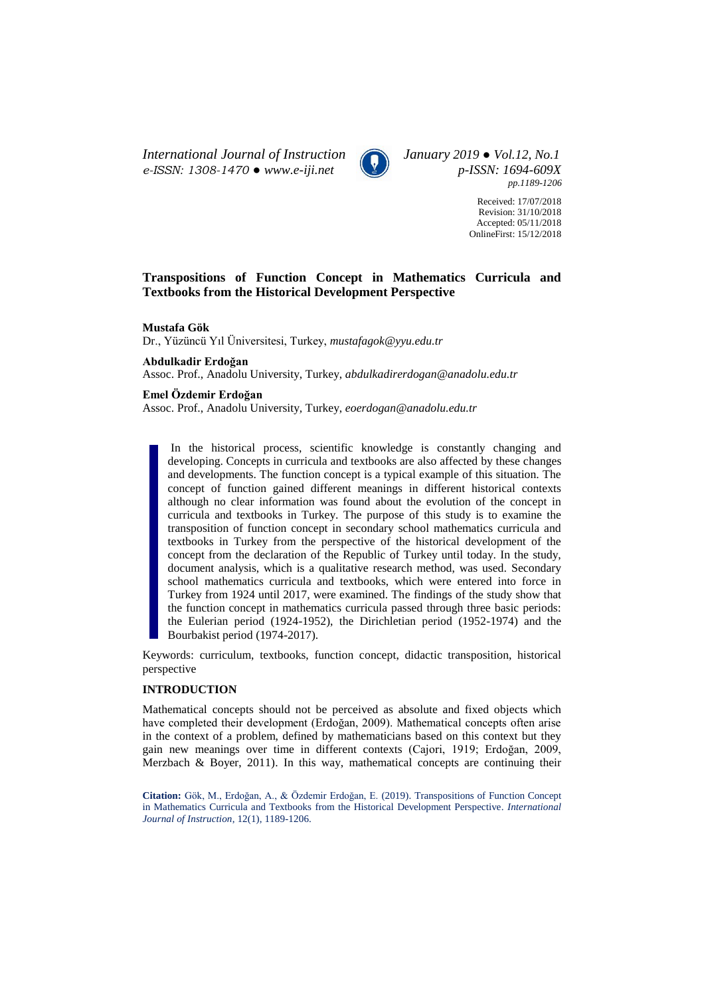*International Journal of Instruction January 2019 ● Vol.12, No.1 e-ISSN: 1308-1470 ● [www.e-iji.net](http://www.e-iji.net/) p-ISSN: 1694-609X*



*pp.1189-1206*

Received: 17/07/2018 Revision: 31/10/2018 Accepted: 05/11/2018 OnlineFirst: 15/12/2018

## **Transpositions of Function Concept in Mathematics Curricula and Textbooks from the Historical Development Perspective**

**Mustafa Gök**

Dr., Yüzüncü Yıl Üniversitesi, Turkey, *mustafagok@yyu.edu.tr*

**Abdulkadir Erdoğan**

Assoc. Prof., Anadolu University, Turkey, *abdulkadirerdogan@anadolu.edu.tr*

## **Emel Özdemir Erdoğan**

Assoc. Prof., Anadolu University*,* Turkey, *eoerdogan@anadolu.edu.tr*

In the historical process, scientific knowledge is constantly changing and developing. Concepts in curricula and textbooks are also affected by these changes and developments. The function concept is a typical example of this situation. The concept of function gained different meanings in different historical contexts although no clear information was found about the evolution of the concept in curricula and textbooks in Turkey. The purpose of this study is to examine the transposition of function concept in secondary school mathematics curricula and textbooks in Turkey from the perspective of the historical development of the concept from the declaration of the Republic of Turkey until today. In the study, document analysis, which is a qualitative research method, was used. Secondary school mathematics curricula and textbooks, which were entered into force in Turkey from 1924 until 2017, were examined. The findings of the study show that the function concept in mathematics curricula passed through three basic periods: the Eulerian period (1924-1952), the Dirichletian period (1952-1974) and the Bourbakist period (1974-2017).

Keywords: curriculum, textbooks, function concept, didactic transposition, historical perspective

### **INTRODUCTION**

Mathematical concepts should not be perceived as absolute and fixed objects which have completed their development (Erdoğan, 2009). Mathematical concepts often arise in the context of a problem, defined by mathematicians based on this context but they gain new meanings over time in different contexts (Cajori, 1919; Erdoğan, 2009, Merzbach  $\&$  Boyer, 2011). In this way, mathematical concepts are continuing their

**Citation:** Gök, M., Erdoğan, A., & Özdemir Erdoğan, E. (2019). Transpositions of Function Concept in Mathematics Curricula and Textbooks from the Historical Development Perspective. *International Journal of Instruction*, 12(1), 1189-1206.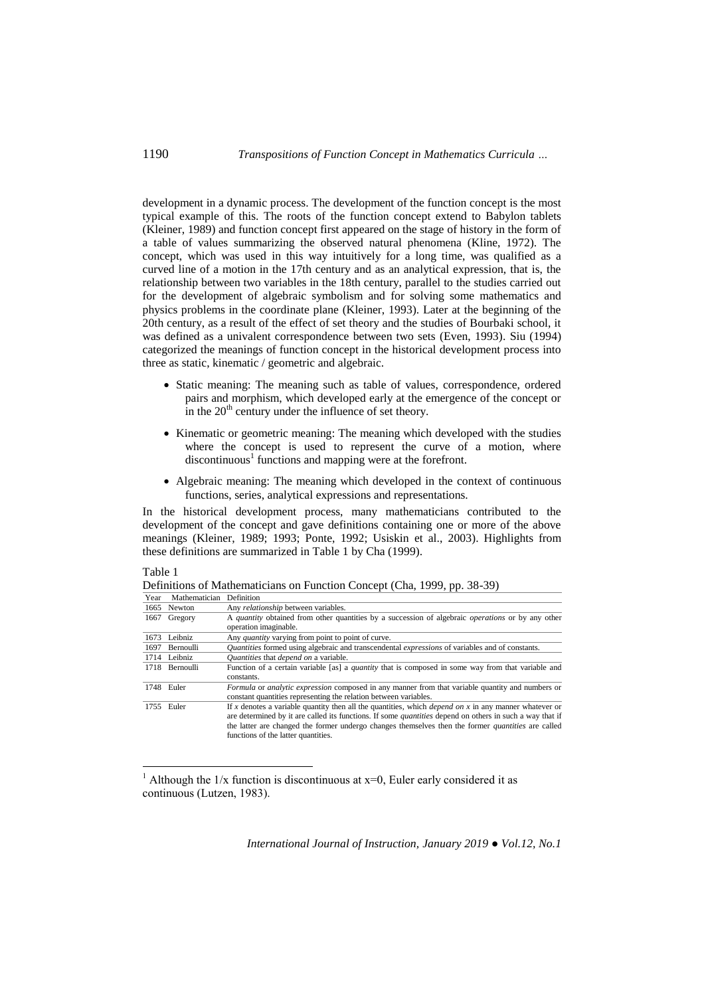development in a dynamic process. The development of the function concept is the most typical example of this. The roots of the function concept extend to Babylon tablets (Kleiner, 1989) and function concept first appeared on the stage of history in the form of a table of values summarizing the observed natural phenomena (Kline, 1972). The concept, which was used in this way intuitively for a long time, was qualified as a curved line of a motion in the 17th century and as an analytical expression, that is, the relationship between two variables in the 18th century, parallel to the studies carried out for the development of algebraic symbolism and for solving some mathematics and physics problems in the coordinate plane (Kleiner, 1993). Later at the beginning of the 20th century, as a result of the effect of set theory and the studies of Bourbaki school, it was defined as a univalent correspondence between two sets (Even, 1993). Siu (1994) categorized the meanings of function concept in the historical development process into three as static, kinematic / geometric and algebraic.

- Static meaning: The meaning such as table of values, correspondence, ordered pairs and morphism, which developed early at the emergence of the concept or in the  $20<sup>th</sup>$  century under the influence of set theory.
- Kinematic or geometric meaning: The meaning which developed with the studies where the concept is used to represent the curve of a motion, where discontinuous<sup>1</sup> functions and mapping were at the forefront.
- Algebraic meaning: The meaning which developed in the context of continuous functions, series, analytical expressions and representations.

In the historical development process, many mathematicians contributed to the development of the concept and gave definitions containing one or more of the above meanings (Kleiner, 1989; 1993; Ponte, 1992; Usiskin et al., 2003). Highlights from these definitions are summarized in Table 1 by Cha (1999).

### Table 1

 $\overline{a}$ 

| Definitions of Mathematicians on Function Concept (Cha, 1999, pp. 38-39) |                               |                                            |  |  |  |
|--------------------------------------------------------------------------|-------------------------------|--------------------------------------------|--|--|--|
|                                                                          | Year Mathematician Definition |                                            |  |  |  |
|                                                                          | 1665 Newton                   | Any <i>relationship</i> between variables. |  |  |  |

| 1002. | <b>Newton</b>    | Any <i>relationship</i> between variables.                                                                      |  |  |  |
|-------|------------------|-----------------------------------------------------------------------------------------------------------------|--|--|--|
| 1667  | Gregory          | A <i>quantity</i> obtained from other quantities by a succession of algebraic <i>operations</i> or by any other |  |  |  |
|       |                  | operation imaginable.                                                                                           |  |  |  |
| 1673  | Leibniz          | Any <i>quantity</i> varying from point to point of curve.                                                       |  |  |  |
| 1697  | <b>Bernoulli</b> | <i>Quantities</i> formed using algebraic and transcendental <i>expressions</i> of variables and of constants.   |  |  |  |
|       | 1714 Leibniz     | Quantities that depend on a variable.                                                                           |  |  |  |
|       | 1718 Bernoulli   | Function of a certain variable [as] a <i>quantity</i> that is composed in some way from that variable and       |  |  |  |
|       |                  | constants.                                                                                                      |  |  |  |
|       | 1748 Euler       | Formula or analytic expression composed in any manner from that variable quantity and numbers or                |  |  |  |
|       |                  | constant quantities representing the relation between variables.                                                |  |  |  |
|       |                  |                                                                                                                 |  |  |  |
|       | 1755 Euler       | If x denotes a variable quantity then all the quantities, which <i>depend on x</i> in any manner whatever or    |  |  |  |
|       |                  | are determined by it are called its functions. If some <i>quantities</i> depend on others in such a way that if |  |  |  |
|       |                  | the latter are changed the former undergo changes themselves then the former <i>quantities</i> are called       |  |  |  |

<sup>&</sup>lt;sup>1</sup> Although the  $1/x$  function is discontinuous at  $x=0$ , Euler early considered it as continuous (Lutzen, 1983).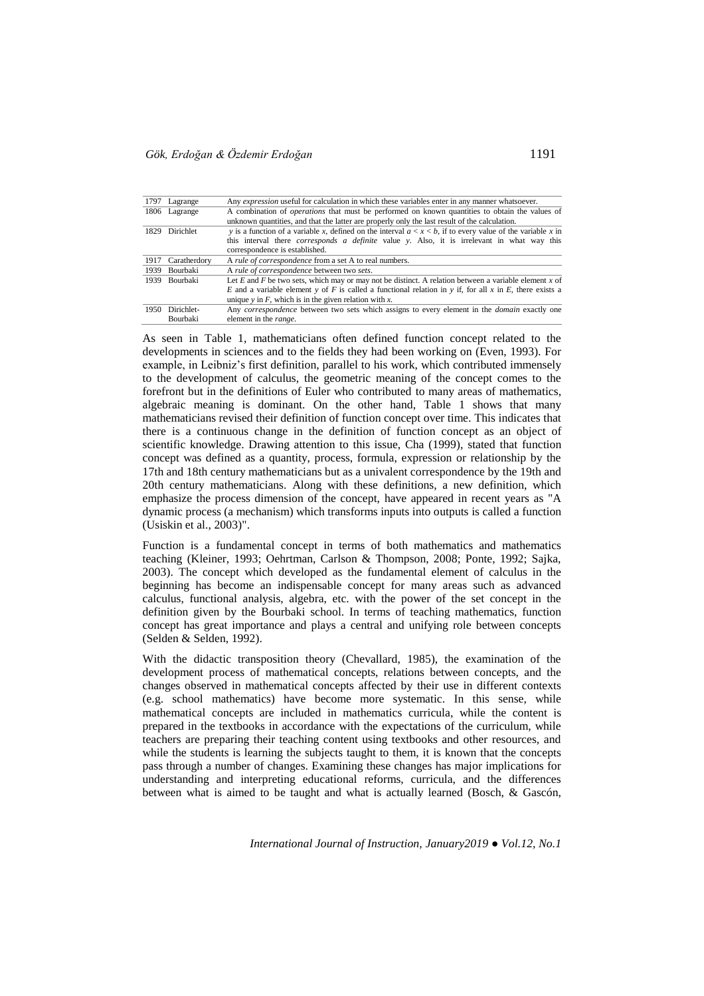| 1797 | Lagrange        | Any <i>expression</i> useful for calculation in which these variables enter in any manner whatsoever.         |  |  |  |
|------|-----------------|---------------------------------------------------------------------------------------------------------------|--|--|--|
|      | 1806 Lagrange   | A combination of <i>operations</i> that must be performed on known quantities to obtain the values of         |  |  |  |
|      |                 | unknown quantities, and that the latter are properly only the last result of the calculation.                 |  |  |  |
| 1829 | Dirichlet       | y is a function of a variable x, defined on the interval $a < x < b$ , if to every value of the variable x in |  |  |  |
|      |                 | this interval there <i>corresponds a definite</i> value y. Also, it is irrelevant in what way this            |  |  |  |
|      |                 | correspondence is established.                                                                                |  |  |  |
| 1917 | Caratherdory    | A rule of correspondence from a set A to real numbers.                                                        |  |  |  |
| 1939 | <b>Bourbaki</b> | A rule of correspondence between two sets.                                                                    |  |  |  |
| 1939 | <b>Bourbaki</b> | Let E and F be two sets, which may or may not be distinct. A relation between a variable element x of         |  |  |  |
|      |                 | E and a variable element y of F is called a functional relation in y if, for all x in E, there exists a       |  |  |  |
|      |                 | unique $y$ in $F$ , which is in the given relation with $x$ .                                                 |  |  |  |
| 1950 | Dirichlet-      | Any <i>correspondence</i> between two sets which assigns to every element in the <i>domain</i> exactly one    |  |  |  |
|      | Bourbaki        | element in the <i>range</i> .                                                                                 |  |  |  |

As seen in Table 1, mathematicians often defined function concept related to the developments in sciences and to the fields they had been working on (Even, 1993). For example, in Leibniz's first definition, parallel to his work, which contributed immensely to the development of calculus, the geometric meaning of the concept comes to the forefront but in the definitions of Euler who contributed to many areas of mathematics, algebraic meaning is dominant. On the other hand, Table 1 shows that many mathematicians revised their definition of function concept over time. This indicates that there is a continuous change in the definition of function concept as an object of scientific knowledge. Drawing attention to this issue, Cha (1999), stated that function concept was defined as a quantity, process, formula, expression or relationship by the 17th and 18th century mathematicians but as a univalent correspondence by the 19th and 20th century mathematicians. Along with these definitions, a new definition, which emphasize the process dimension of the concept, have appeared in recent years as "A dynamic process (a mechanism) which transforms inputs into outputs is called a function (Usiskin et al., 2003)".

Function is a fundamental concept in terms of both mathematics and mathematics teaching (Kleiner, 1993; Oehrtman, Carlson & Thompson, 2008; Ponte, 1992; Sajka, 2003). The concept which developed as the fundamental element of calculus in the beginning has become an indispensable concept for many areas such as advanced calculus, functional analysis, algebra, etc. with the power of the set concept in the definition given by the Bourbaki school. In terms of teaching mathematics, function concept has great importance and plays a central and unifying role between concepts (Selden & Selden, 1992).

With the didactic transposition theory (Chevallard, 1985), the examination of the development process of mathematical concepts, relations between concepts, and the changes observed in mathematical concepts affected by their use in different contexts (e.g. school mathematics) have become more systematic. In this sense, while mathematical concepts are included in mathematics curricula, while the content is prepared in the textbooks in accordance with the expectations of the curriculum, while teachers are preparing their teaching content using textbooks and other resources, and while the students is learning the subjects taught to them, it is known that the concepts pass through a number of changes. Examining these changes has major implications for understanding and interpreting educational reforms, curricula, and the differences between what is aimed to be taught and what is actually learned (Bosch, & Gascón,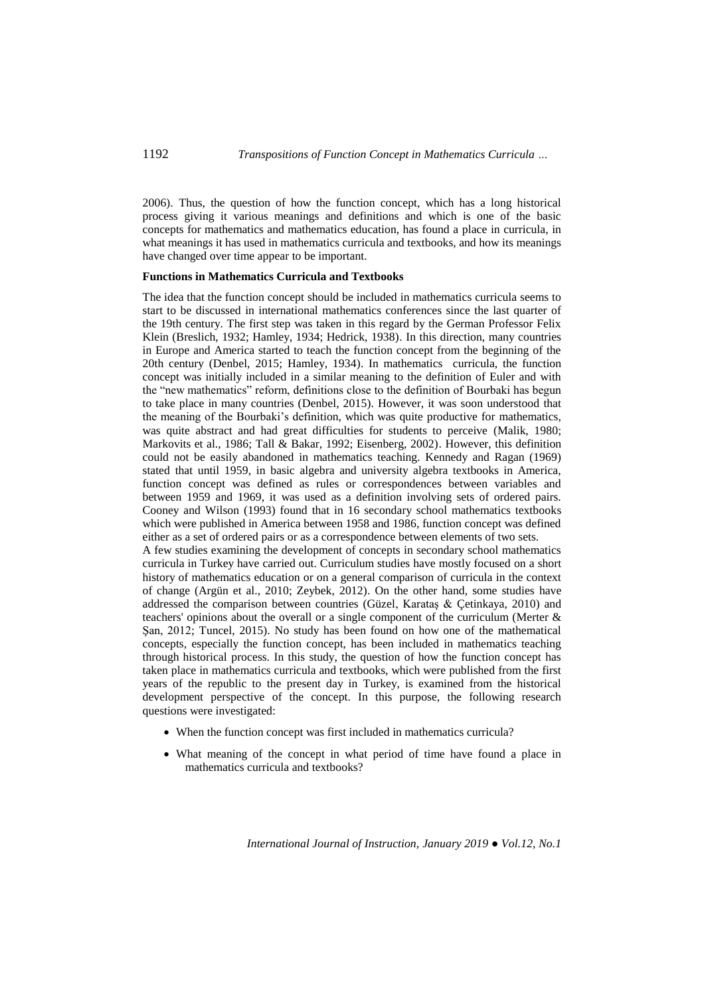2006). Thus, the question of how the function concept, which has a long historical process giving it various meanings and definitions and which is one of the basic concepts for mathematics and mathematics education, has found a place in curricula, in what meanings it has used in mathematics curricula and textbooks, and how its meanings have changed over time appear to be important.

#### **Functions in Mathematics Curricula and Textbooks**

The idea that the function concept should be included in mathematics curricula seems to start to be discussed in international mathematics conferences since the last quarter of the 19th century. The first step was taken in this regard by the German Professor Felix Klein (Breslich, 1932; Hamley, 1934; Hedrick, 1938). In this direction, many countries in Europe and America started to teach the function concept from the beginning of the 20th century (Denbel, 2015; Hamley, 1934). In mathematics curricula, the function concept was initially included in a similar meaning to the definition of Euler and with the "new mathematics" reform, definitions close to the definition of Bourbaki has begun to take place in many countries (Denbel, 2015). However, it was soon understood that the meaning of the Bourbaki's definition, which was quite productive for mathematics, was quite abstract and had great difficulties for students to perceive (Malik, 1980; Markovits et al., 1986; Tall & Bakar, 1992; Eisenberg, 2002). However, this definition could not be easily abandoned in mathematics teaching. Kennedy and Ragan (1969) stated that until 1959, in basic algebra and university algebra textbooks in America, function concept was defined as rules or correspondences between variables and between 1959 and 1969, it was used as a definition involving sets of ordered pairs. Cooney and Wilson (1993) found that in 16 secondary school mathematics textbooks which were published in America between 1958 and 1986, function concept was defined either as a set of ordered pairs or as a correspondence between elements of two sets. A few studies examining the development of concepts in secondary school mathematics

curricula in Turkey have carried out. Curriculum studies have mostly focused on a short history of mathematics education or on a general comparison of curricula in the context of change (Argün et al., 2010; Zeybek, 2012). On the other hand, some studies have addressed the comparison between countries (Güzel, Karataş & Çetinkaya, 2010) and teachers' opinions about the overall or a single component of the curriculum (Merter & Şan, 2012; Tuncel, 2015). No study has been found on how one of the mathematical concepts, especially the function concept, has been included in mathematics teaching through historical process. In this study, the question of how the function concept has taken place in mathematics curricula and textbooks, which were published from the first years of the republic to the present day in Turkey, is examined from the historical development perspective of the concept. In this purpose, the following research questions were investigated:

- When the function concept was first included in mathematics curricula?
- What meaning of the concept in what period of time have found a place in mathematics curricula and textbooks?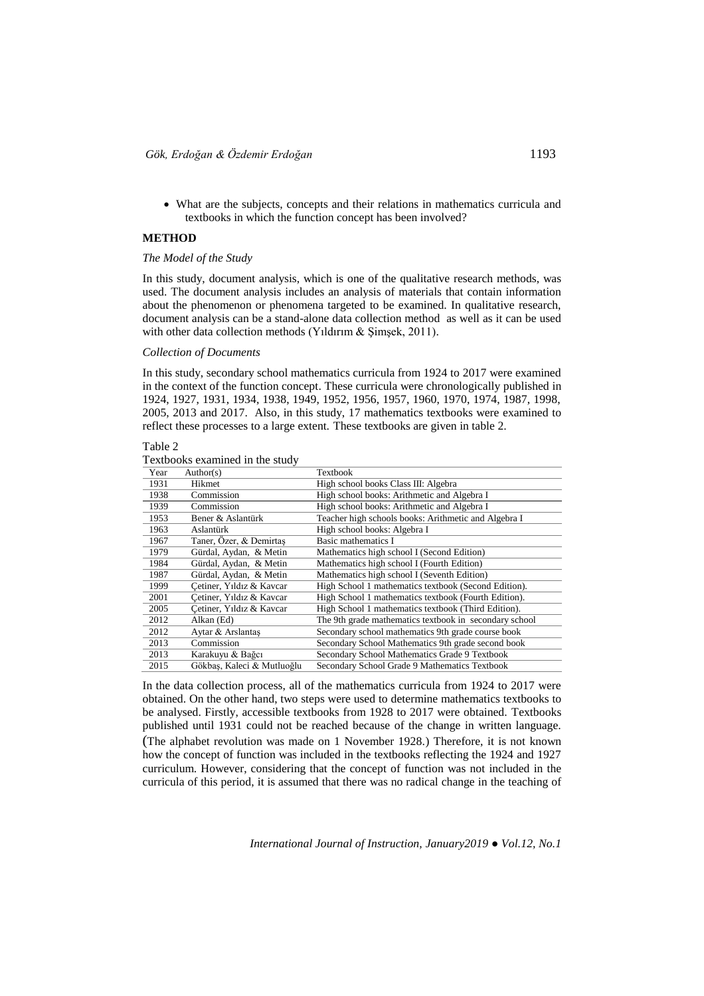What are the subjects, concepts and their relations in mathematics curricula and textbooks in which the function concept has been involved?

### **METHOD**

#### *The Model of the Study*

In this study, document analysis, which is one of the qualitative research methods, was used. The document analysis includes an analysis of materials that contain information about the phenomenon or phenomena targeted to be examined. In qualitative research, document analysis can be a stand-alone data collection method as well as it can be used with other data collection methods (Yıldırım & Şimşek, 2011).

### *Collection of Documents*

In this study, secondary school mathematics curricula from 1924 to 2017 were examined in the context of the function concept. These curricula were chronologically published in 1924, 1927, 1931, 1934, 1938, 1949, 1952, 1956, 1957, 1960, 1970, 1974, 1987, 1998, 2005, 2013 and 2017. Also, in this study, 17 mathematics textbooks were examined to reflect these processes to a large extent. These textbooks are given in table 2.

### Table 2

Textbooks examined in the study

| Year | Author(s)                  | Textbook                                               |
|------|----------------------------|--------------------------------------------------------|
| 1931 | Hikmet                     | High school books Class III: Algebra                   |
| 1938 | Commission                 | High school books: Arithmetic and Algebra I            |
| 1939 | Commission                 | High school books: Arithmetic and Algebra I            |
| 1953 | Bener & Aslantürk          | Teacher high schools books: Arithmetic and Algebra I   |
| 1963 | Aslantürk                  | High school books: Algebra I                           |
| 1967 | Taner, Özer, & Demirtas    | Basic mathematics I                                    |
| 1979 | Gürdal, Aydan, & Metin     | Mathematics high school I (Second Edition)             |
| 1984 | Gürdal, Aydan, & Metin     | Mathematics high school I (Fourth Edition)             |
| 1987 | Gürdal, Aydan, & Metin     | Mathematics high school I (Seventh Edition)            |
| 1999 | Cetiner, Yıldız & Kavcar   | High School 1 mathematics textbook (Second Edition).   |
| 2001 | Cetiner, Yıldız & Kavcar   | High School 1 mathematics textbook (Fourth Edition).   |
| 2005 | Cetiner, Yıldız & Kavcar   | High School 1 mathematics textbook (Third Edition).    |
| 2012 | Alkan (Ed)                 | The 9th grade mathematics textbook in secondary school |
| 2012 | Aytar & Arslantas          | Secondary school mathematics 9th grade course book     |
| 2013 | Commission                 | Secondary School Mathematics 9th grade second book     |
| 2013 | Karakuyu & Bağcı           | Secondary School Mathematics Grade 9 Textbook          |
| 2015 | Gökbas, Kaleci & Mutluoğlu | Secondary School Grade 9 Mathematics Textbook          |

In the data collection process, all of the mathematics curricula from 1924 to 2017 were obtained. On the other hand, two steps were used to determine mathematics textbooks to be analysed. Firstly, accessible textbooks from 1928 to 2017 were obtained. Textbooks published until 1931 could not be reached because of the change in written language. (The alphabet revolution was made on 1 November 1928.) Therefore, it is not known how the concept of function was included in the textbooks reflecting the 1924 and 1927 curriculum. However, considering that the concept of function was not included in the curricula of this period, it is assumed that there was no radical change in the teaching of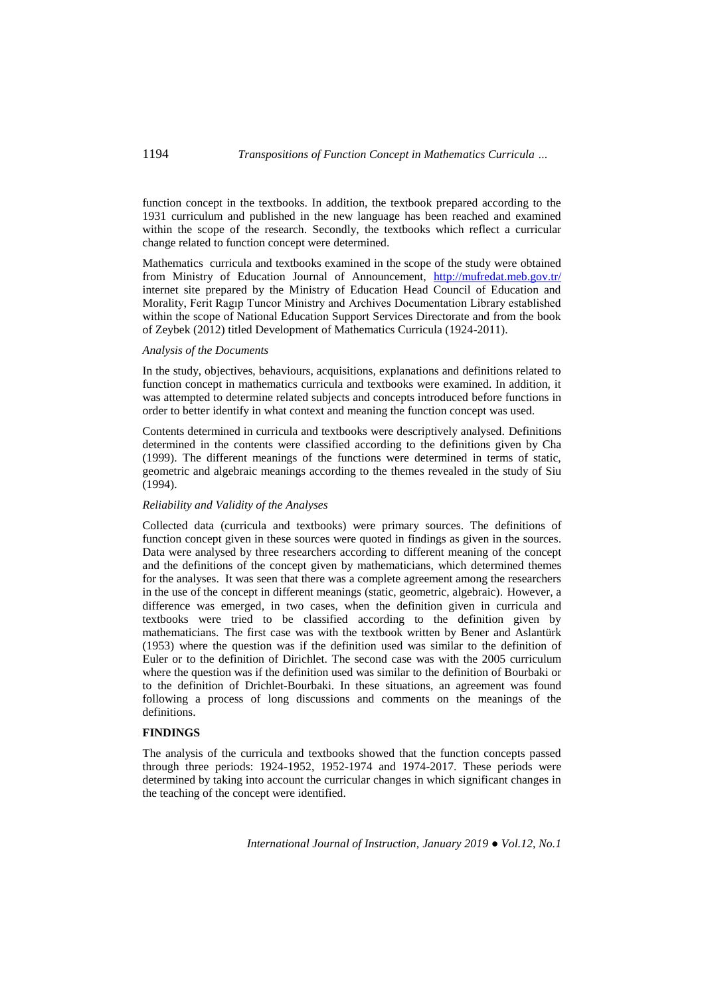function concept in the textbooks. In addition, the textbook prepared according to the 1931 curriculum and published in the new language has been reached and examined within the scope of the research. Secondly, the textbooks which reflect a curricular change related to function concept were determined.

Mathematics curricula and textbooks examined in the scope of the study were obtained from Ministry of Education Journal of Announcement, <http://mufredat.meb.gov.tr/> internet site prepared by the Ministry of Education Head Council of Education and Morality, Ferit Ragıp Tuncor Ministry and Archives Documentation Library established within the scope of National Education Support Services Directorate and from the book of Zeybek (2012) titled Development of Mathematics Curricula (1924-2011).

### *Analysis of the Documents*

In the study, objectives, behaviours, acquisitions, explanations and definitions related to function concept in mathematics curricula and textbooks were examined. In addition, it was attempted to determine related subjects and concepts introduced before functions in order to better identify in what context and meaning the function concept was used.

Contents determined in curricula and textbooks were descriptively analysed. Definitions determined in the contents were classified according to the definitions given by Cha (1999). The different meanings of the functions were determined in terms of static, geometric and algebraic meanings according to the themes revealed in the study of Siu (1994).

## *Reliability and Validity of the Analyses*

Collected data (curricula and textbooks) were primary sources. The definitions of function concept given in these sources were quoted in findings as given in the sources. Data were analysed by three researchers according to different meaning of the concept and the definitions of the concept given by mathematicians, which determined themes for the analyses. It was seen that there was a complete agreement among the researchers in the use of the concept in different meanings (static, geometric, algebraic). However, a difference was emerged, in two cases, when the definition given in curricula and textbooks were tried to be classified according to the definition given by mathematicians. The first case was with the textbook written by Bener and Aslantürk (1953) where the question was if the definition used was similar to the definition of Euler or to the definition of Dirichlet. The second case was with the 2005 curriculum where the question was if the definition used was similar to the definition of Bourbaki or to the definition of Drichlet-Bourbaki. In these situations, an agreement was found following a process of long discussions and comments on the meanings of the definitions.

#### **FINDINGS**

The analysis of the curricula and textbooks showed that the function concepts passed through three periods: 1924-1952, 1952-1974 and 1974-2017. These periods were determined by taking into account the curricular changes in which significant changes in the teaching of the concept were identified.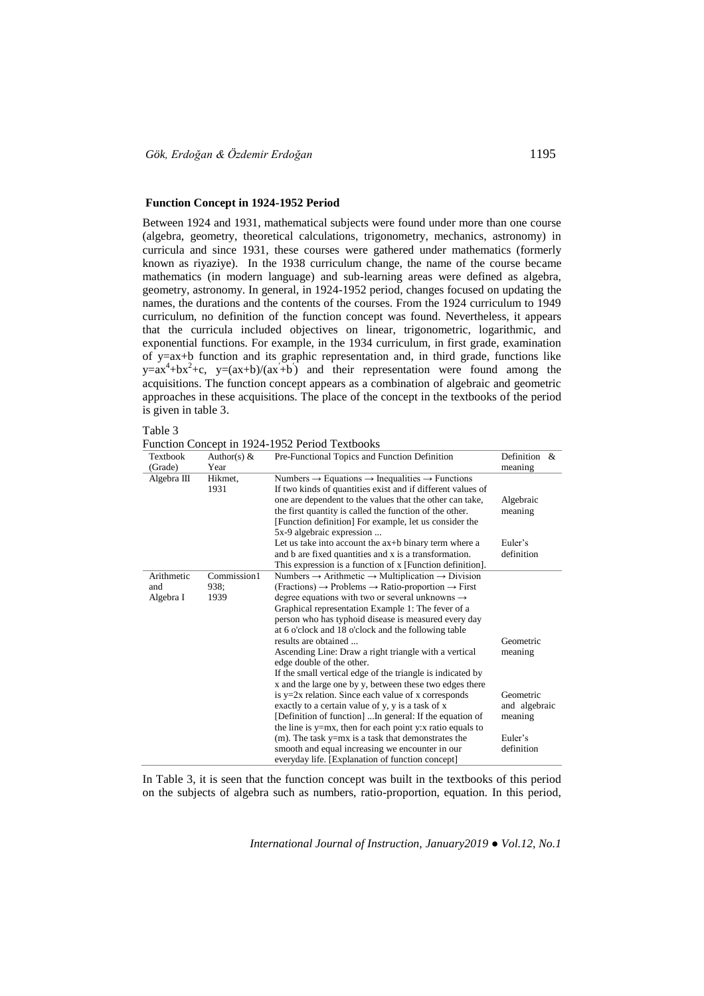### **Function Concept in 1924-1952 Period**

Between 1924 and 1931, mathematical subjects were found under more than one course (algebra, geometry, theoretical calculations, trigonometry, mechanics, astronomy) in curricula and since 1931, these courses were gathered under mathematics (formerly known as riyaziye). In the 1938 curriculum change, the name of the course became mathematics (in modern language) and sub-learning areas were defined as algebra, geometry, astronomy. In general, in 1924-1952 period, changes focused on updating the names, the durations and the contents of the courses. From the 1924 curriculum to 1949 curriculum, no definition of the function concept was found. Nevertheless, it appears that the curricula included objectives on linear, trigonometric, logarithmic, and exponential functions. For example, in the 1934 curriculum, in first grade, examination of y=ax+b function and its graphic representation and, in third grade, functions like  $y=ax^4+bx^2+c$ ,  $y=(ax+b)/(ax+b)$  and their representation were found among the acquisitions. The function concept appears as a combination of algebraic and geometric approaches in these acquisitions. The place of the concept in the textbooks of the period is given in table 3.

Table 3

Function Concept in 1924-1952 Period Textbooks

| Textbook      | Author(s) $&$   | Pre-Functional Topics and Function Definition                                                                                                                                                                                                                                                                                                                   | Definition &          |
|---------------|-----------------|-----------------------------------------------------------------------------------------------------------------------------------------------------------------------------------------------------------------------------------------------------------------------------------------------------------------------------------------------------------------|-----------------------|
| (Grade)       | Year            |                                                                                                                                                                                                                                                                                                                                                                 | meaning               |
| Algebra $III$ | Hikmet,<br>1931 | Numbers $\rightarrow$ Equations $\rightarrow$ Inequalities $\rightarrow$ Functions<br>If two kinds of quantities exist and if different values of<br>one are dependent to the values that the other can take,<br>the first quantity is called the function of the other.<br>[Function definition] For example, let us consider the<br>5x-9 algebraic expression | Algebraic<br>meaning  |
|               |                 | Let us take into account the $ax + b$ binary term where a<br>and b are fixed quantities and x is a transformation.<br>This expression is a function of x [Function definition].                                                                                                                                                                                 | Euler's<br>definition |
| Arithmetic    | Commission1     | Numbers $\rightarrow$ Arithmetic $\rightarrow$ Multiplication $\rightarrow$ Division                                                                                                                                                                                                                                                                            |                       |
| and           | 938:            | $(Fractions) \rightarrow Problems \rightarrow Ratio-proportion \rightarrow First$                                                                                                                                                                                                                                                                               |                       |
| Algebra I     | 1939            | degree equations with two or several unknowns $\rightarrow$                                                                                                                                                                                                                                                                                                     |                       |
|               |                 | Graphical representation Example 1: The fever of a                                                                                                                                                                                                                                                                                                              |                       |
|               |                 | person who has typhoid disease is measured every day                                                                                                                                                                                                                                                                                                            |                       |
|               |                 | at 6 o'clock and 18 o'clock and the following table                                                                                                                                                                                                                                                                                                             |                       |
|               |                 | results are obtained                                                                                                                                                                                                                                                                                                                                            | Geometric             |
|               |                 | Ascending Line: Draw a right triangle with a vertical<br>edge double of the other.                                                                                                                                                                                                                                                                              | meaning               |
|               |                 | If the small vertical edge of the triangle is indicated by<br>x and the large one by y, between these two edges there                                                                                                                                                                                                                                           |                       |
|               |                 | is $y=2x$ relation. Since each value of x corresponds                                                                                                                                                                                                                                                                                                           | Geometric             |
|               |                 | exactly to a certain value of y, y is a task of x                                                                                                                                                                                                                                                                                                               | and algebraic         |
|               |                 | [Definition of function]  In general: If the equation of                                                                                                                                                                                                                                                                                                        | meaning               |
|               |                 | the line is $y=mx$ , then for each point y:x ratio equals to                                                                                                                                                                                                                                                                                                    |                       |
|               |                 | $(m)$ . The task y=mx is a task that demonstrates the                                                                                                                                                                                                                                                                                                           | Euler's               |
|               |                 | smooth and equal increasing we encounter in our                                                                                                                                                                                                                                                                                                                 | definition            |
|               |                 | everyday life. [Explanation of function concept]                                                                                                                                                                                                                                                                                                                |                       |

In Table 3, it is seen that the function concept was built in the textbooks of this period on the subjects of algebra such as numbers, ratio-proportion, equation. In this period,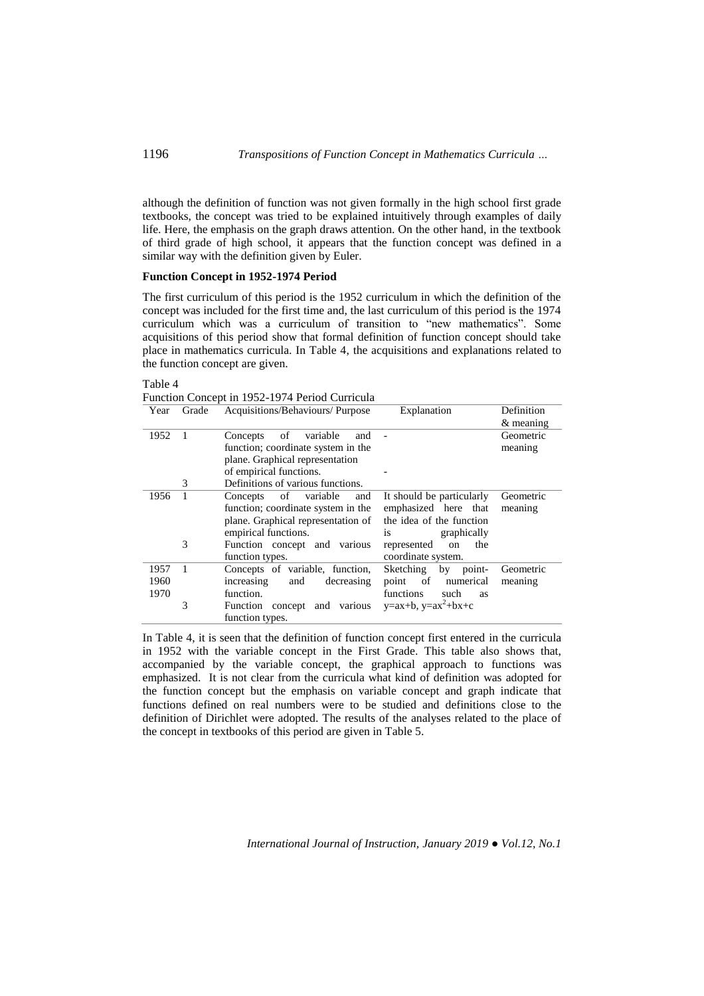although the definition of function was not given formally in the high school first grade textbooks, the concept was tried to be explained intuitively through examples of daily life. Here, the emphasis on the graph draws attention. On the other hand, in the textbook of third grade of high school, it appears that the function concept was defined in a similar way with the definition given by Euler.

#### **Function Concept in 1952-1974 Period**

The first curriculum of this period is the 1952 curriculum in which the definition of the concept was included for the first time and, the last curriculum of this period is the 1974 curriculum which was a curriculum of transition to "new mathematics". Some acquisitions of this period show that formal definition of function concept should take place in mathematics curricula. In Table 4, the acquisitions and explanations related to the function concept are given.

### Table 4

Function Concept in 1952-1974 Period Curricula

| Year | Grade          | Acquisitions/Behaviours/ Purpose   | Explanation                           | Definition  |
|------|----------------|------------------------------------|---------------------------------------|-------------|
|      |                |                                    |                                       | $&$ meaning |
| 1952 | $\overline{1}$ | of<br>variable<br>Concepts<br>and  |                                       | Geometric   |
|      |                | function; coordinate system in the |                                       | meaning     |
|      |                | plane. Graphical representation    |                                       |             |
|      |                | of empirical functions.            |                                       |             |
|      | 3              | Definitions of various functions.  |                                       |             |
| 1956 | 1              | of variable<br>Concepts<br>and     | It should be particularly             | Geometric   |
|      |                | function; coordinate system in the | emphasized here that                  | meaning     |
|      |                | plane. Graphical representation of | the idea of the function              |             |
|      |                | empirical functions.               | graphically<br>1S                     |             |
|      | 3              | Function concept and various       | represented<br>the<br>on              |             |
|      |                | function types.                    | coordinate system.                    |             |
| 1957 | $\overline{1}$ | Concepts of variable, function,    | Sketching by point-                   | Geometric   |
| 1960 |                | and<br>increasing<br>decreasing    | of<br>numerical<br>point              | meaning     |
| 1970 |                | function.                          | <i>functions</i><br>such<br><b>as</b> |             |
|      | 3              | Function concept and various       | $y=ax+b$ , $y=ax^2+bx+c$              |             |
|      |                | function types.                    |                                       |             |

In Table 4, it is seen that the definition of function concept first entered in the curricula in 1952 with the variable concept in the First Grade. This table also shows that, accompanied by the variable concept, the graphical approach to functions was emphasized. It is not clear from the curricula what kind of definition was adopted for the function concept but the emphasis on variable concept and graph indicate that functions defined on real numbers were to be studied and definitions close to the definition of Dirichlet were adopted. The results of the analyses related to the place of the concept in textbooks of this period are given in Table 5.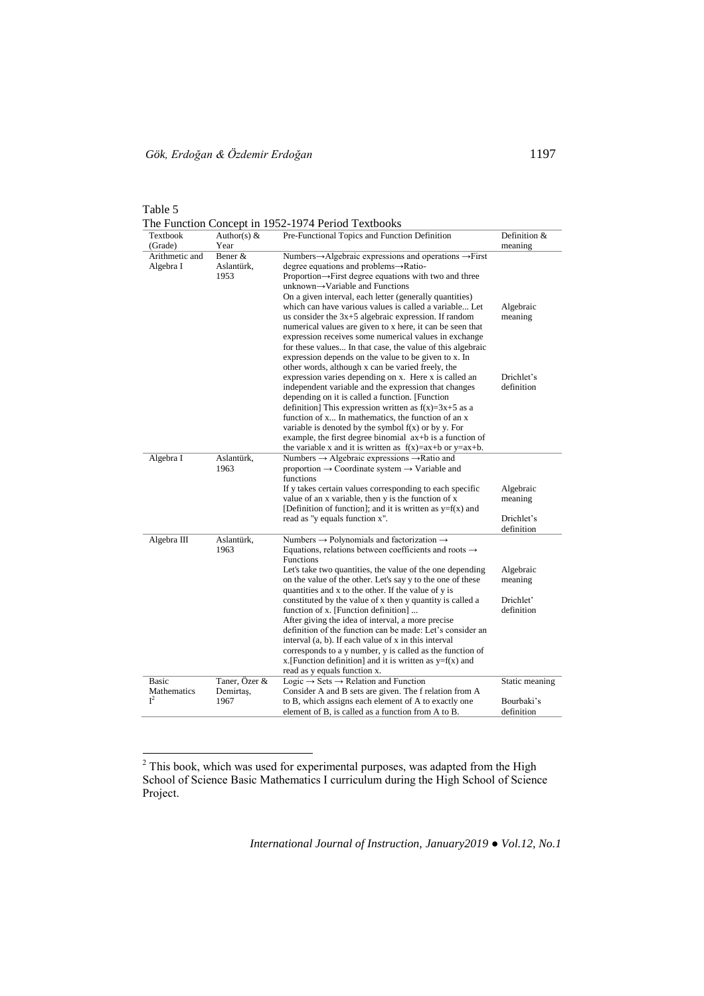$\overline{a}$ 

Table 5 The Function Concept in 1952-1974 Period Textbooks

| Textbook<br>(Grade)           | Author(s) $&$<br>Year              | Pre-Functional Topics and Function Definition                                                                                                                                                                                                                                                                                                                                                                                                                                                                                                                                                                                                                                                                                                                                   | Definition &<br>meaning                                       |
|-------------------------------|------------------------------------|---------------------------------------------------------------------------------------------------------------------------------------------------------------------------------------------------------------------------------------------------------------------------------------------------------------------------------------------------------------------------------------------------------------------------------------------------------------------------------------------------------------------------------------------------------------------------------------------------------------------------------------------------------------------------------------------------------------------------------------------------------------------------------|---------------------------------------------------------------|
| Arithmetic and<br>Algebra I   | Bener &<br>Aslantürk,<br>1953      | Numbers $\rightarrow$ Algebraic expressions and operations $\rightarrow$ First<br>degree equations and problems→Ratio-<br>Proportion $\rightarrow$ First degree equations with two and three<br>unknown→Variable and Functions<br>On a given interval, each letter (generally quantities)<br>which can have various values is called a variable Let<br>us consider the $3x+5$ algebraic expression. If random<br>numerical values are given to x here, it can be seen that<br>expression receives some numerical values in exchange<br>for these values In that case, the value of this algebraic<br>expression depends on the value to be given to x. In<br>other words, although x can be varied freely, the                                                                  | Algebraic<br>meaning                                          |
|                               |                                    | expression varies depending on x. Here x is called an<br>independent variable and the expression that changes<br>depending on it is called a function. [Function]<br>definition] This expression written as $f(x)=3x+5$ as a<br>function of x In mathematics, the function of an x<br>variable is denoted by the symbol $f(x)$ or by y. For<br>example, the first degree binomial $ax + b$ is a function of<br>the variable x and it is written as $f(x)=ax+b$ or $y=ax+b$ .                                                                                                                                                                                                                                                                                                    | Drichlet's<br>definition                                      |
| Algebra I                     | Aslantürk,<br>1963                 | Numbers $\rightarrow$ Algebraic expressions $\rightarrow$ Ratio and<br>proportion $\rightarrow$ Coordinate system $\rightarrow$ Variable and<br>functions<br>If y takes certain values corresponding to each specific<br>value of an x variable, then y is the function of x<br>[Definition of function]; and it is written as $y=f(x)$ and<br>read as "y equals function x".                                                                                                                                                                                                                                                                                                                                                                                                   | Algebraic<br>meaning<br>Drichlet's                            |
| Algebra III                   | Aslantürk,<br>1963                 | Numbers $\rightarrow$ Polynomials and factorization $\rightarrow$<br>Equations, relations between coefficients and roots $\rightarrow$<br>Functions<br>Let's take two quantities, the value of the one depending<br>on the value of the other. Let's say y to the one of these<br>quantities and x to the other. If the value of y is<br>constituted by the value of x then y quantity is called a<br>function of x. [Function definition]<br>After giving the idea of interval, a more precise<br>definition of the function can be made: Let's consider an<br>interval (a, b). If each value of x in this interval<br>corresponds to a y number, y is called as the function of<br>x. [Function definition] and it is written as $y=f(x)$ and<br>read as y equals function x. | definition<br>Algebraic<br>meaning<br>Drichlet'<br>definition |
| Basic<br>Mathematics<br>$I^2$ | Taner, Özer &<br>Demirtas,<br>1967 | Logic $\rightarrow$ Sets $\rightarrow$ Relation and Function<br>Consider A and B sets are given. The f relation from A<br>to B, which assigns each element of A to exactly one<br>element of B, is called as a function from A to B.                                                                                                                                                                                                                                                                                                                                                                                                                                                                                                                                            | Static meaning<br>Bourbaki's<br>definition                    |

 $2$  This book, which was used for experimental purposes, was adapted from the High School of Science Basic Mathematics I curriculum during the High School of Science Project.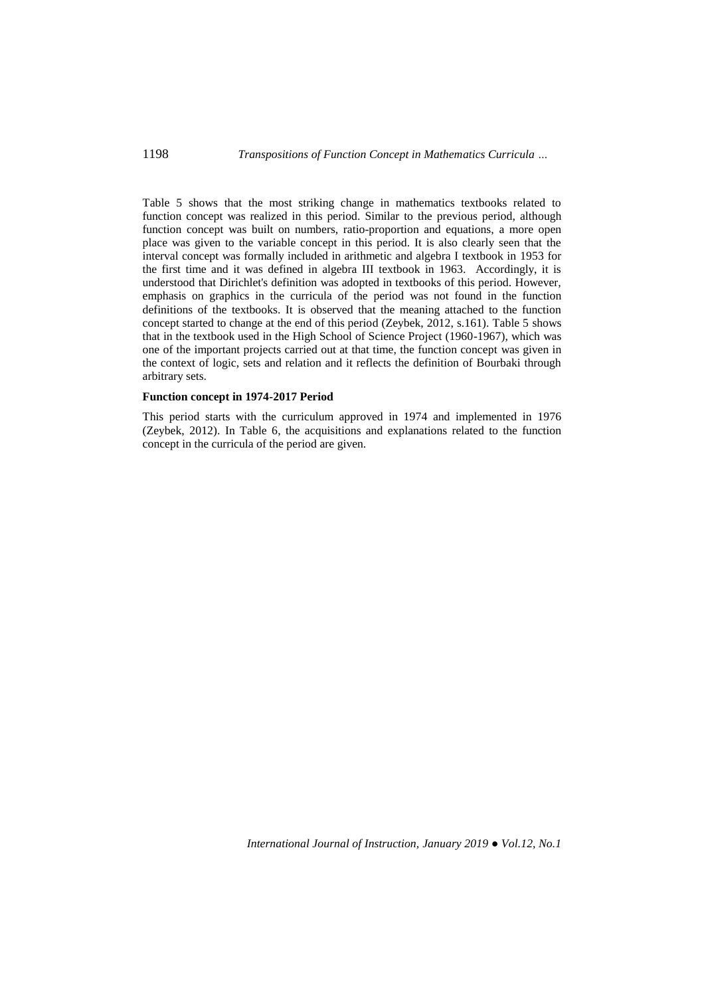Table 5 shows that the most striking change in mathematics textbooks related to function concept was realized in this period. Similar to the previous period, although function concept was built on numbers, ratio-proportion and equations, a more open place was given to the variable concept in this period. It is also clearly seen that the interval concept was formally included in arithmetic and algebra I textbook in 1953 for the first time and it was defined in algebra III textbook in 1963. Accordingly, it is understood that Dirichlet's definition was adopted in textbooks of this period. However, emphasis on graphics in the curricula of the period was not found in the function definitions of the textbooks. It is observed that the meaning attached to the function concept started to change at the end of this period (Zeybek, 2012, s.161). Table 5 shows that in the textbook used in the High School of Science Project (1960-1967), which was one of the important projects carried out at that time, the function concept was given in the context of logic, sets and relation and it reflects the definition of Bourbaki through arbitrary sets.

### **Function concept in 1974-2017 Period**

This period starts with the curriculum approved in 1974 and implemented in 1976 (Zeybek, 2012). In Table 6, the acquisitions and explanations related to the function concept in the curricula of the period are given.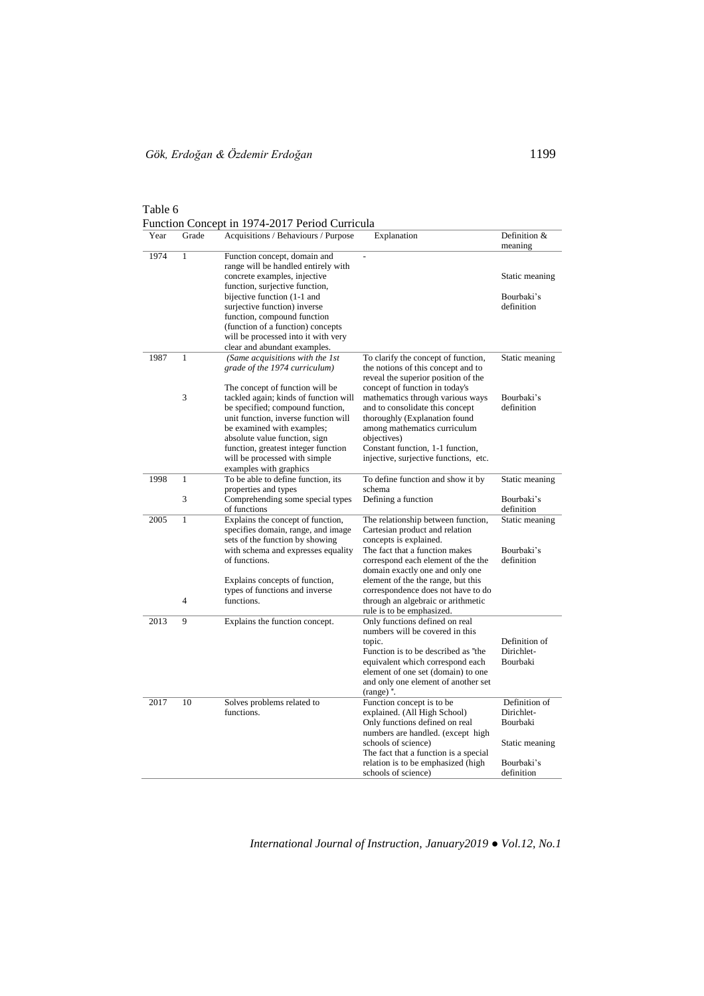| Year | Grade          | Acquisitions / Behaviours / Purpose                                                                                                                                                                                                                                                         | Explanation                                                                                                                                                                                                                                                                                               | Definition &<br>meaning                                                                      |
|------|----------------|---------------------------------------------------------------------------------------------------------------------------------------------------------------------------------------------------------------------------------------------------------------------------------------------|-----------------------------------------------------------------------------------------------------------------------------------------------------------------------------------------------------------------------------------------------------------------------------------------------------------|----------------------------------------------------------------------------------------------|
| 1974 | $\mathbf{1}$   | Function concept, domain and<br>range will be handled entirely with<br>concrete examples, injective                                                                                                                                                                                         | $\overline{a}$                                                                                                                                                                                                                                                                                            | Static meaning                                                                               |
|      |                | function, surjective function,<br>bijective function (1-1 and<br>surjective function) inverse<br>function, compound function<br>(function of a function) concepts                                                                                                                           |                                                                                                                                                                                                                                                                                                           | Bourbaki's<br>definition                                                                     |
|      |                | will be processed into it with very<br>clear and abundant examples.                                                                                                                                                                                                                         |                                                                                                                                                                                                                                                                                                           |                                                                                              |
| 1987 | 1              | (Same acquisitions with the 1st<br>grade of the 1974 curriculum)                                                                                                                                                                                                                            | To clarify the concept of function,<br>the notions of this concept and to                                                                                                                                                                                                                                 | Static meaning                                                                               |
|      | 3              | The concept of function will be<br>tackled again; kinds of function will<br>be specified; compound function,<br>unit function, inverse function will<br>be examined with examples;<br>absolute value function, sign<br>function, greatest integer function<br>will be processed with simple | reveal the superior position of the<br>concept of function in today's<br>mathematics through various ways<br>and to consolidate this concept<br>thoroughly (Explanation found<br>among mathematics curriculum<br>objectives)<br>Constant function, 1-1 function,<br>injective, surjective functions, etc. | Bourbaki's<br>definition                                                                     |
| 1998 | $\mathbf{1}$   | examples with graphics<br>To be able to define function, its                                                                                                                                                                                                                                | To define function and show it by                                                                                                                                                                                                                                                                         | Static meaning                                                                               |
|      | 3              | properties and types<br>Comprehending some special types<br>of functions                                                                                                                                                                                                                    | schema<br>Defining a function                                                                                                                                                                                                                                                                             | Bourbaki's<br>definition                                                                     |
| 2005 | $\mathbf{1}$   | Explains the concept of function,<br>specifies domain, range, and image<br>sets of the function by showing<br>with schema and expresses equality<br>of functions.                                                                                                                           | The relationship between function,<br>Cartesian product and relation<br>concepts is explained.<br>The fact that a function makes<br>correspond each element of the the<br>domain exactly one and only one                                                                                                 | Static meaning<br>Bourbaki's<br>definition                                                   |
|      |                | Explains concepts of function,                                                                                                                                                                                                                                                              | element of the the range, but this                                                                                                                                                                                                                                                                        |                                                                                              |
|      | $\overline{4}$ | types of functions and inverse<br>functions.                                                                                                                                                                                                                                                | correspondence does not have to do<br>through an algebraic or arithmetic<br>rule is to be emphasized.                                                                                                                                                                                                     |                                                                                              |
| 2013 | 9              | Explains the function concept.                                                                                                                                                                                                                                                              | Only functions defined on real<br>numbers will be covered in this<br>topic.<br>Function is to be described as "the<br>equivalent which correspond each<br>element of one set (domain) to one<br>and only one element of another set<br>$(range)$ .                                                        | Definition of<br>Dirichlet-<br>Bourbaki                                                      |
| 2017 | 10             | Solves problems related to<br>functions.                                                                                                                                                                                                                                                    | Function concept is to be<br>explained. (All High School)<br>Only functions defined on real<br>numbers are handled. (except high<br>schools of science)<br>The fact that a function is a special<br>relation is to be emphasized (high<br>schools of science)                                             | Definition of<br>Dirichlet-<br><b>Bourbaki</b><br>Static meaning<br>Bourbaki's<br>definition |

Table  $6$ <br>Eunction  $C$  $\mathbf{F}$  in 1974-2017 Period Curricula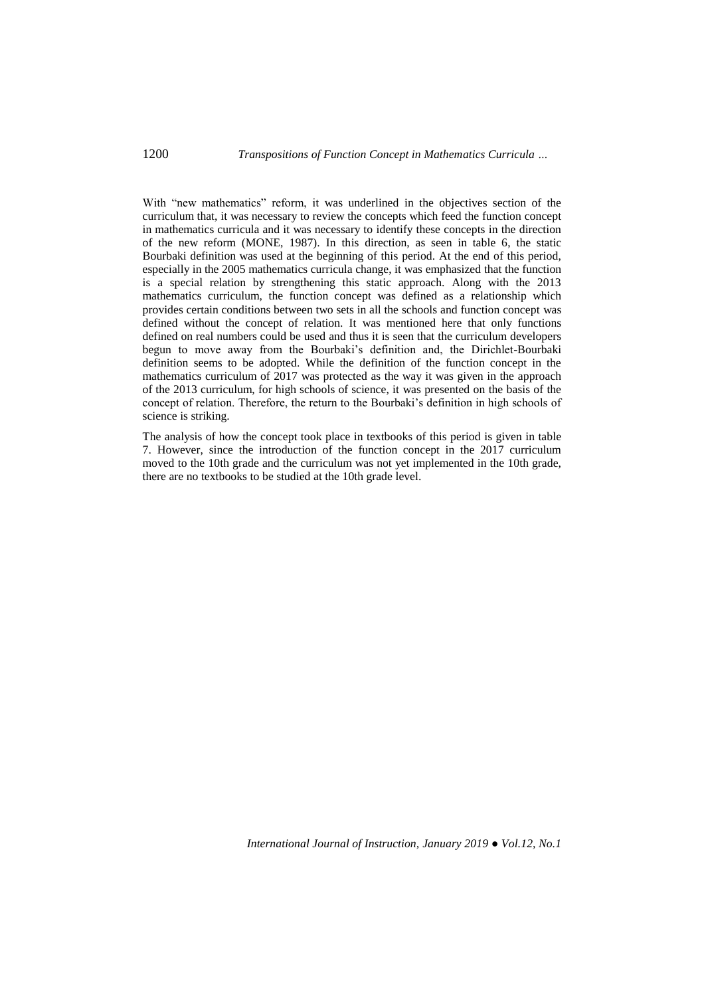With "new mathematics" reform, it was underlined in the objectives section of the curriculum that, it was necessary to review the concepts which feed the function concept in mathematics curricula and it was necessary to identify these concepts in the direction of the new reform (MONE, 1987). In this direction, as seen in table 6, the static Bourbaki definition was used at the beginning of this period. At the end of this period, especially in the 2005 mathematics curricula change, it was emphasized that the function is a special relation by strengthening this static approach. Along with the 2013 mathematics curriculum, the function concept was defined as a relationship which provides certain conditions between two sets in all the schools and function concept was defined without the concept of relation. It was mentioned here that only functions defined on real numbers could be used and thus it is seen that the curriculum developers begun to move away from the Bourbaki's definition and, the Dirichlet-Bourbaki definition seems to be adopted. While the definition of the function concept in the mathematics curriculum of 2017 was protected as the way it was given in the approach of the 2013 curriculum, for high schools of science, it was presented on the basis of the concept of relation. Therefore, the return to the Bourbaki's definition in high schools of science is striking.

The analysis of how the concept took place in textbooks of this period is given in table 7. However, since the introduction of the function concept in the 2017 curriculum moved to the 10th grade and the curriculum was not yet implemented in the 10th grade, there are no textbooks to be studied at the 10th grade level.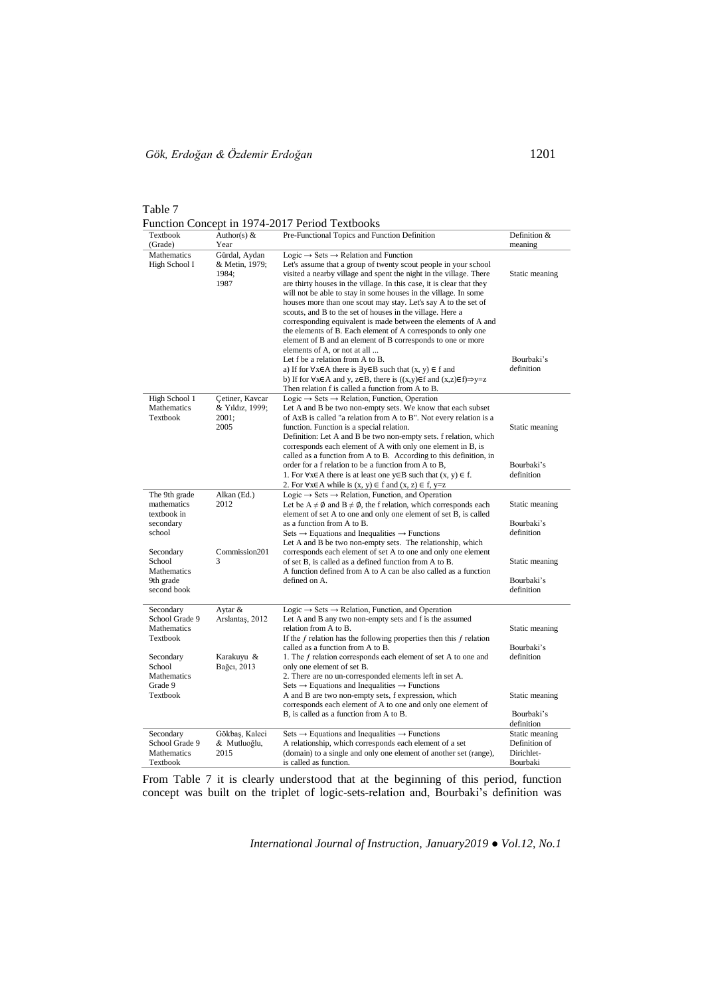Table 7 Function Concept in 1974-2017 Period Textbooks

| Textbook                                                                                                            | Author(s) $&$                                           | $\frac{1}{2}$<br>Pre-Functional Topics and Function Definition                                                                                                                                                                                                                                                                                                                                                                                                                                                                                                                                                                                                                                                                                                                                                                                                                                                                                            | Definition &                                                               |
|---------------------------------------------------------------------------------------------------------------------|---------------------------------------------------------|-----------------------------------------------------------------------------------------------------------------------------------------------------------------------------------------------------------------------------------------------------------------------------------------------------------------------------------------------------------------------------------------------------------------------------------------------------------------------------------------------------------------------------------------------------------------------------------------------------------------------------------------------------------------------------------------------------------------------------------------------------------------------------------------------------------------------------------------------------------------------------------------------------------------------------------------------------------|----------------------------------------------------------------------------|
| (Grade)                                                                                                             | Year                                                    |                                                                                                                                                                                                                                                                                                                                                                                                                                                                                                                                                                                                                                                                                                                                                                                                                                                                                                                                                           | meaning                                                                    |
| Mathematics<br>High School I                                                                                        | Gürdal, Aydan<br>& Metin, 1979;<br>1984;<br>1987        | Logic $\rightarrow$ Sets $\rightarrow$ Relation and Function<br>Let's assume that a group of twenty scout people in your school<br>visited a nearby village and spent the night in the village. There<br>are thirty houses in the village. In this case, it is clear that they<br>will not be able to stay in some houses in the village. In some<br>houses more than one scout may stay. Let's say A to the set of<br>scouts, and B to the set of houses in the village. Here a<br>corresponding equivalent is made between the elements of A and<br>the elements of B. Each element of A corresponds to only one<br>element of B and an element of B corresponds to one or more<br>elements of A, or not at all<br>Let f be a relation from A to B.<br>a) If for $\forall x \in A$ there is $\exists y \in B$ such that $(x, y) \in f$ and<br>b) If for $\forall x \in A$ and y, $z \in B$ , there is $((x,y) \in f$ and $(x,z) \in f) \Rightarrow y=z$ | Static meaning<br>Bourbaki's<br>definition                                 |
| High School 1<br>Mathematics<br>Textbook                                                                            | Cetiner, Kavcar<br>& Yıldız, 1999;<br>2001;<br>2005     | Then relation f is called a function from A to B.<br>Logic $\rightarrow$ Sets $\rightarrow$ Relation, Function, Operation<br>Let A and B be two non-empty sets. We know that each subset<br>of AxB is called "a relation from A to B". Not every relation is a<br>function. Function is a special relation.<br>Definition: Let A and B be two non-empty sets. f relation, which<br>corresponds each element of A with only one element in B, is<br>called as a function from A to B. According to this definition, in<br>order for a f relation to be a function from A to B,<br>1. For $\forall x \in A$ there is at least one $y \in B$ such that $(x, y) \in f$ .<br>2. For $\forall x \in A$ while is $(x, y) \in f$ and $(x, z) \in f$ , y=z                                                                                                                                                                                                         | Static meaning<br>Bourbaki's<br>definition                                 |
| The 9th grade<br>mathematics<br>textbook in<br>secondary<br>school                                                  | Alkan (Ed.)<br>2012                                     | Logic $\rightarrow$ Sets $\rightarrow$ Relation, Function, and Operation<br>Let be $A \neq \emptyset$ and $B \neq \emptyset$ , the f relation, which corresponds each<br>element of set A to one and only one element of set B, is called<br>as a function from A to B.<br>Sets $\rightarrow$ Equations and Inequalities $\rightarrow$ Functions<br>Let A and B be two non-empty sets. The relationship, which                                                                                                                                                                                                                                                                                                                                                                                                                                                                                                                                            | Static meaning<br>Bourbaki's<br>definition                                 |
| Secondary<br>School<br>Mathematics<br>9th grade<br>second book                                                      | Commission201<br>3                                      | corresponds each element of set A to one and only one element<br>of set B, is called as a defined function from A to B.<br>A function defined from A to A can be also called as a function<br>defined on A.                                                                                                                                                                                                                                                                                                                                                                                                                                                                                                                                                                                                                                                                                                                                               | Static meaning<br>Bourbaki's<br>definition                                 |
| Secondary<br>School Grade 9<br>Mathematics<br>Textbook<br>Secondary<br>School<br>Mathematics<br>Grade 9<br>Textbook | Aytar &<br>Arslantas, 2012<br>Karakuyu &<br>Bağcı, 2013 | Logic $\rightarrow$ Sets $\rightarrow$ Relation, Function, and Operation<br>Let A and B any two non-empty sets and f is the assumed<br>relation from A to B.<br>If the $f$ relation has the following properties then this $f$ relation<br>called as a function from A to B.<br>1. The f relation corresponds each element of set A to one and<br>only one element of set B.<br>2. There are no un-corresponded elements left in set A.<br>Sets $\rightarrow$ Equations and Inequalities $\rightarrow$ Functions<br>A and B are two non-empty sets, f expression, which<br>corresponds each element of A to one and only one element of<br>B, is called as a function from A to B.                                                                                                                                                                                                                                                                        | Static meaning<br>Bourbaki's<br>definition<br>Static meaning<br>Bourbaki's |
| Secondary<br>School Grade 9<br>Mathematics<br>Textbook                                                              | Gökbaş, Kaleci<br>& Mutluoğlu,<br>2015                  | Sets $\rightarrow$ Equations and Inequalities $\rightarrow$ Functions<br>A relationship, which corresponds each element of a set<br>(domain) to a single and only one element of another set (range),<br>is called as function.                                                                                                                                                                                                                                                                                                                                                                                                                                                                                                                                                                                                                                                                                                                           | definition<br>Static meaning<br>Definition of<br>Dirichlet-<br>Bourbaki    |

From Table 7 it is clearly understood that at the beginning of this period, function concept was built on the triplet of logic-sets-relation and, Bourbaki's definition was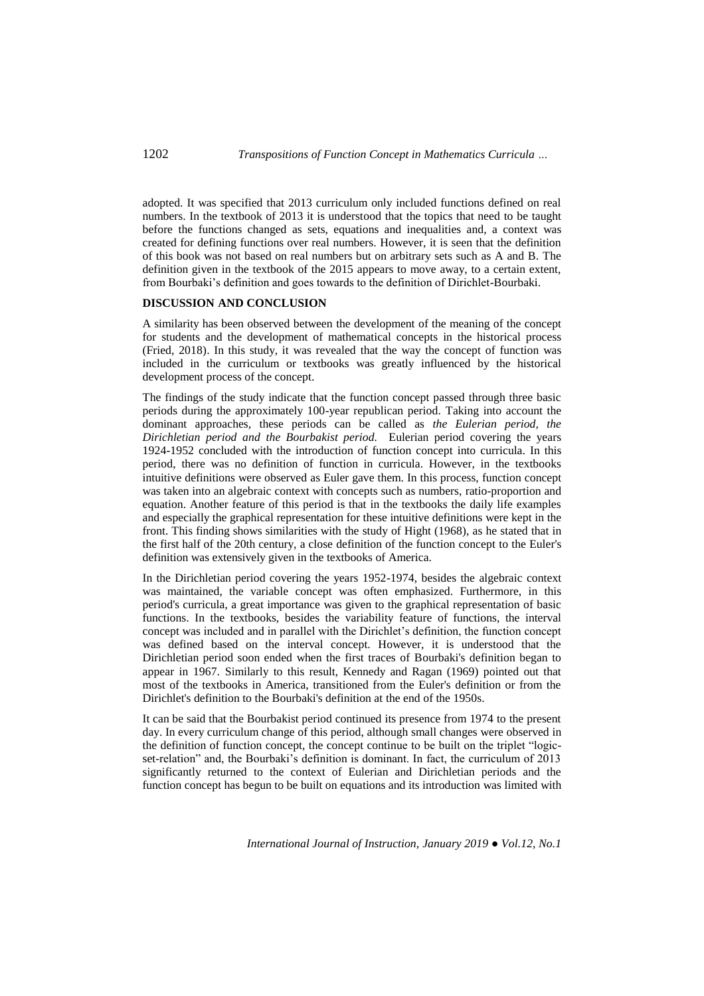adopted. It was specified that 2013 curriculum only included functions defined on real numbers. In the textbook of 2013 it is understood that the topics that need to be taught before the functions changed as sets, equations and inequalities and, a context was created for defining functions over real numbers. However, it is seen that the definition of this book was not based on real numbers but on arbitrary sets such as A and B. The definition given in the textbook of the 2015 appears to move away, to a certain extent, from Bourbaki's definition and goes towards to the definition of Dirichlet-Bourbaki.

### **DISCUSSION AND CONCLUSION**

A similarity has been observed between the development of the meaning of the concept for students and the development of mathematical concepts in the historical process (Fried, 2018). In this study, it was revealed that the way the concept of function was included in the curriculum or textbooks was greatly influenced by the historical development process of the concept.

The findings of the study indicate that the function concept passed through three basic periods during the approximately 100-year republican period. Taking into account the dominant approaches, these periods can be called as *the Eulerian period, the Dirichletian period and the Bourbakist period.* Eulerian period covering the years 1924-1952 concluded with the introduction of function concept into curricula. In this period, there was no definition of function in curricula. However, in the textbooks intuitive definitions were observed as Euler gave them. In this process, function concept was taken into an algebraic context with concepts such as numbers, ratio-proportion and equation. Another feature of this period is that in the textbooks the daily life examples and especially the graphical representation for these intuitive definitions were kept in the front. This finding shows similarities with the study of Hight (1968), as he stated that in the first half of the 20th century, a close definition of the function concept to the Euler's definition was extensively given in the textbooks of America.

In the Dirichletian period covering the years 1952-1974, besides the algebraic context was maintained, the variable concept was often emphasized. Furthermore, in this period's curricula, a great importance was given to the graphical representation of basic functions. In the textbooks, besides the variability feature of functions, the interval concept was included and in parallel with the Dirichlet's definition, the function concept was defined based on the interval concept. However, it is understood that the Dirichletian period soon ended when the first traces of Bourbaki's definition began to appear in 1967. Similarly to this result, Kennedy and Ragan (1969) pointed out that most of the textbooks in America, transitioned from the Euler's definition or from the Dirichlet's definition to the Bourbaki's definition at the end of the 1950s.

It can be said that the Bourbakist period continued its presence from 1974 to the present day. In every curriculum change of this period, although small changes were observed in the definition of function concept, the concept continue to be built on the triplet "logicset-relation" and, the Bourbaki's definition is dominant. In fact, the curriculum of 2013 significantly returned to the context of Eulerian and Dirichletian periods and the function concept has begun to be built on equations and its introduction was limited with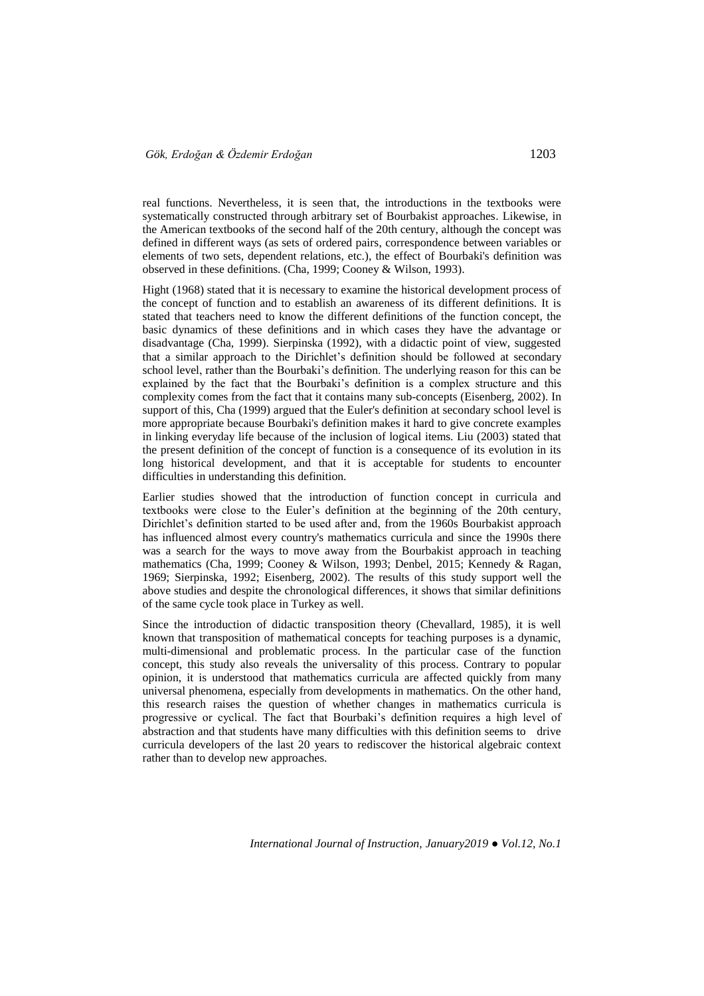real functions. Nevertheless, it is seen that, the introductions in the textbooks were systematically constructed through arbitrary set of Bourbakist approaches. Likewise, in the American textbooks of the second half of the 20th century, although the concept was defined in different ways (as sets of ordered pairs, correspondence between variables or elements of two sets, dependent relations, etc.), the effect of Bourbaki's definition was observed in these definitions. (Cha, 1999; Cooney & Wilson, 1993).

Hight (1968) stated that it is necessary to examine the historical development process of the concept of function and to establish an awareness of its different definitions. It is stated that teachers need to know the different definitions of the function concept, the basic dynamics of these definitions and in which cases they have the advantage or disadvantage (Cha, 1999). Sierpinska (1992), with a didactic point of view, suggested that a similar approach to the Dirichlet's definition should be followed at secondary school level, rather than the Bourbaki's definition. The underlying reason for this can be explained by the fact that the Bourbaki's definition is a complex structure and this complexity comes from the fact that it contains many sub-concepts (Eisenberg, 2002). In support of this, Cha (1999) argued that the Euler's definition at secondary school level is more appropriate because Bourbaki's definition makes it hard to give concrete examples in linking everyday life because of the inclusion of logical items. Liu (2003) stated that the present definition of the concept of function is a consequence of its evolution in its long historical development, and that it is acceptable for students to encounter difficulties in understanding this definition.

Earlier studies showed that the introduction of function concept in curricula and textbooks were close to the Euler's definition at the beginning of the 20th century, Dirichlet's definition started to be used after and, from the 1960s Bourbakist approach has influenced almost every country's mathematics curricula and since the 1990s there was a search for the ways to move away from the Bourbakist approach in teaching mathematics (Cha, 1999; Cooney & Wilson, 1993; Denbel, 2015; Kennedy & Ragan, 1969; Sierpinska, 1992; Eisenberg, 2002). The results of this study support well the above studies and despite the chronological differences, it shows that similar definitions of the same cycle took place in Turkey as well.

Since the introduction of didactic transposition theory (Chevallard, 1985), it is well known that transposition of mathematical concepts for teaching purposes is a dynamic, multi-dimensional and problematic process. In the particular case of the function concept, this study also reveals the universality of this process. Contrary to popular opinion, it is understood that mathematics curricula are affected quickly from many universal phenomena, especially from developments in mathematics. On the other hand, this research raises the question of whether changes in mathematics curricula is progressive or cyclical. The fact that Bourbaki's definition requires a high level of abstraction and that students have many difficulties with this definition seems to drive curricula developers of the last 20 years to rediscover the historical algebraic context rather than to develop new approaches.

*International Journal of Instruction, January2019 ● Vol.12, No.1*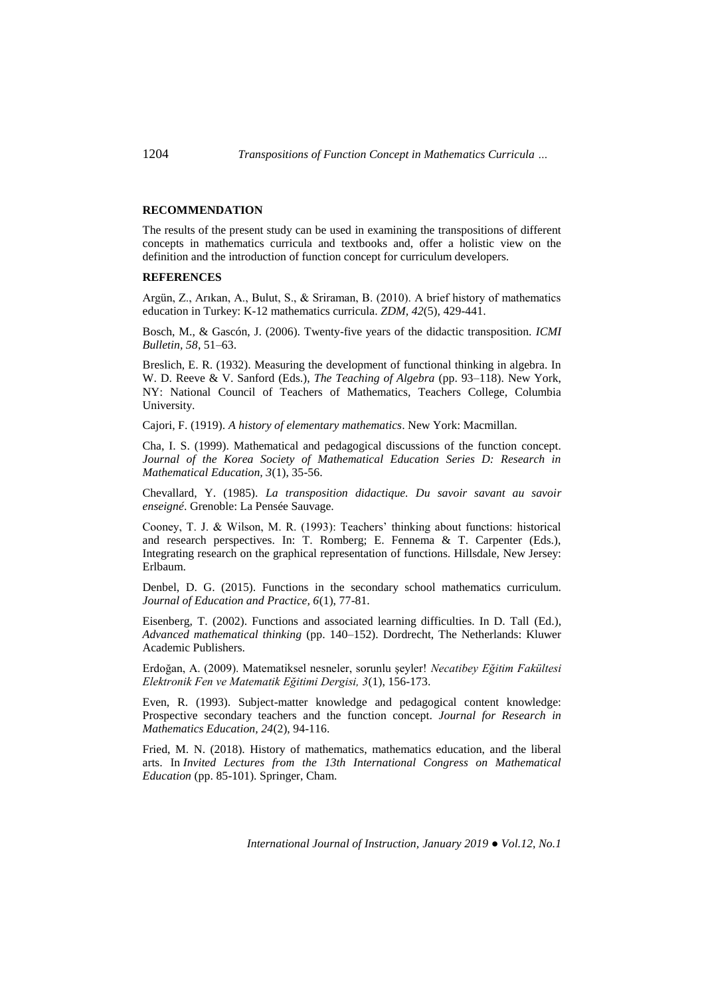#### **RECOMMENDATION**

The results of the present study can be used in examining the transpositions of different concepts in mathematics curricula and textbooks and, offer a holistic view on the definition and the introduction of function concept for curriculum developers.

## **REFERENCES**

Argün, Z., Arıkan, A., Bulut, S., & Sriraman, B. (2010). A brief history of mathematics education in Turkey: K-12 mathematics curricula. *ZDM, 42*(5), 429-441.

Bosch, M., & Gascón, J. (2006). Twenty-five years of the didactic transposition. *ICMI Bulletin, 58*, 51–63.

Breslich, E. R. (1932). Measuring the development of functional thinking in algebra. In W. D. Reeve & V. Sanford (Eds.), *The Teaching of Algebra* (pp. 93–118). New York, NY: National Council of Teachers of Mathematics, Teachers College, Columbia University.

Cajori, F. (1919). *A history of elementary mathematics*. New York: Macmillan.

Cha, I. S. (1999). Mathematical and pedagogical discussions of the function concept. *Journal of the Korea Society of Mathematical Education Series D: Research in Mathematical Education, 3*(1), 35-56.

Chevallard, Y. (1985). *La transposition didactique. Du savoir savant au savoir enseigné*. Grenoble: La Pensée Sauvage.

Cooney, T. J. & Wilson, M. R. (1993): Teachers' thinking about functions: historical and research perspectives. In: T. Romberg; E. Fennema & T. Carpenter (Eds.), Integrating research on the graphical representation of functions. Hillsdale, New Jersey: Erlbaum.

Denbel, D. G. (2015). Functions in the secondary school mathematics curriculum. *Journal of Education and Practice, 6*(1), 77-81.

Eisenberg, T. (2002). Functions and associated learning difficulties. In D. Tall (Ed.), *Advanced mathematical thinking* (pp. 140–152). Dordrecht, The Netherlands: Kluwer Academic Publishers.

Erdoğan, A. (2009). Matematiksel nesneler, sorunlu şeyler! *Necatibey Eğitim Fakültesi Elektronik Fen ve Matematik Eğitimi Dergisi, 3*(1), 156-173.

Even, R. (1993). Subject-matter knowledge and pedagogical content knowledge: Prospective secondary teachers and the function concept. *Journal for Research in Mathematics Education, 24*(2), 94-116.

Fried, M. N. (2018). History of mathematics, mathematics education, and the liberal arts. In *Invited Lectures from the 13th International Congress on Mathematical Education* (pp. 85-101). Springer, Cham.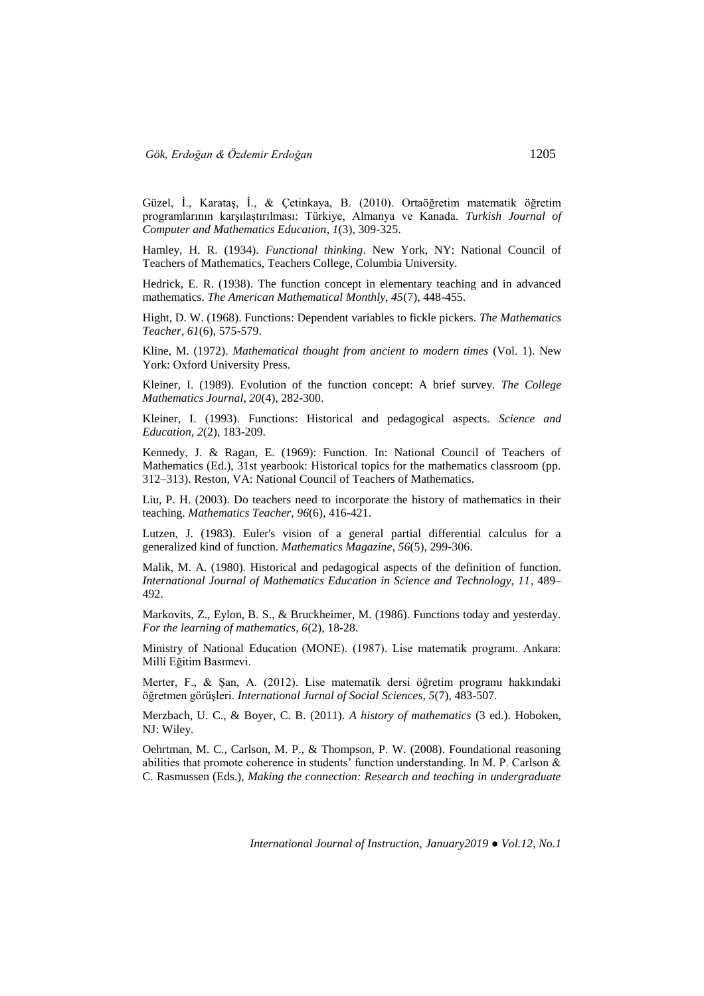Güzel, İ., Karataş, İ., & Çetinkaya, B. (2010). Ortaöğretim matematik öğretim programlarının karşılaştırılması: Türkiye, Almanya ve Kanada. *Turkish Journal of Computer and Mathematics Education*, *1*(3), 309-325.

Hamley, H. R. (1934). *Functional thinking*. New York, NY: National Council of Teachers of Mathematics, Teachers College, Columbia University.

Hedrick, E. R. (1938). The function concept in elementary teaching and in advanced mathematics. *The American Mathematical Monthly, 45*(7), 448-455.

Hight, D. W. (1968). Functions: Dependent variables to fickle pickers. *The Mathematics Teacher*, *61*(6), 575-579.

Kline, M. (1972). *Mathematical thought from ancient to modern times* (Vol. 1). New York: Oxford University Press.

Kleiner, I. (1989). Evolution of the function concept: A brief survey. *The College Mathematics Journal, 20*(4), 282-300.

Kleiner, I. (1993). Functions: Historical and pedagogical aspects. *Science and Education, 2*(2), 183-209.

Kennedy, J. & Ragan, E. (1969): Function. In: National Council of Teachers of Mathematics (Ed.), 31st yearbook: Historical topics for the mathematics classroom (pp. 312–313). Reston, VA: National Council of Teachers of Mathematics.

Liu, P. H. (2003). Do teachers need to incorporate the history of mathematics in their teaching. *Mathematics Teacher*, *96*(6), 416-421.

Lutzen, J. (1983). Euler's vision of a general partial differential calculus for a generalized kind of function. *Mathematics Magazine*, *56*(5), 299-306.

Malik, M. A. (1980). Historical and pedagogical aspects of the definition of function. *International Journal of Mathematics Education in Science and Technology, 11*, 489– 492.

Markovits, Z., Eylon, B. S., & Bruckheimer, M. (1986). Functions today and yesterday. *For the learning of mathematics, 6*(2), 18-28.

Ministry of National Education (MONE). (1987). Lise matematik programı. Ankara: Milli Eğitim Basımevi.

Merter, F., & Şan, A. (2012). Lise matematik dersi öğretim programı hakkındaki öğretmen görüşleri. *International Jurnal of Social Sciences*, *5*(7), 483-507.

Merzbach, U. C., & Boyer, C. B. (2011). *A history of mathematics* (3 ed.). Hoboken, NJ: Wiley.

Oehrtman, M. C., Carlson, M. P., & Thompson, P. W. (2008). Foundational reasoning abilities that promote coherence in students' function understanding. In M. P. Carlson & C. Rasmussen (Eds.), *Making the connection: Research and teaching in undergraduate*